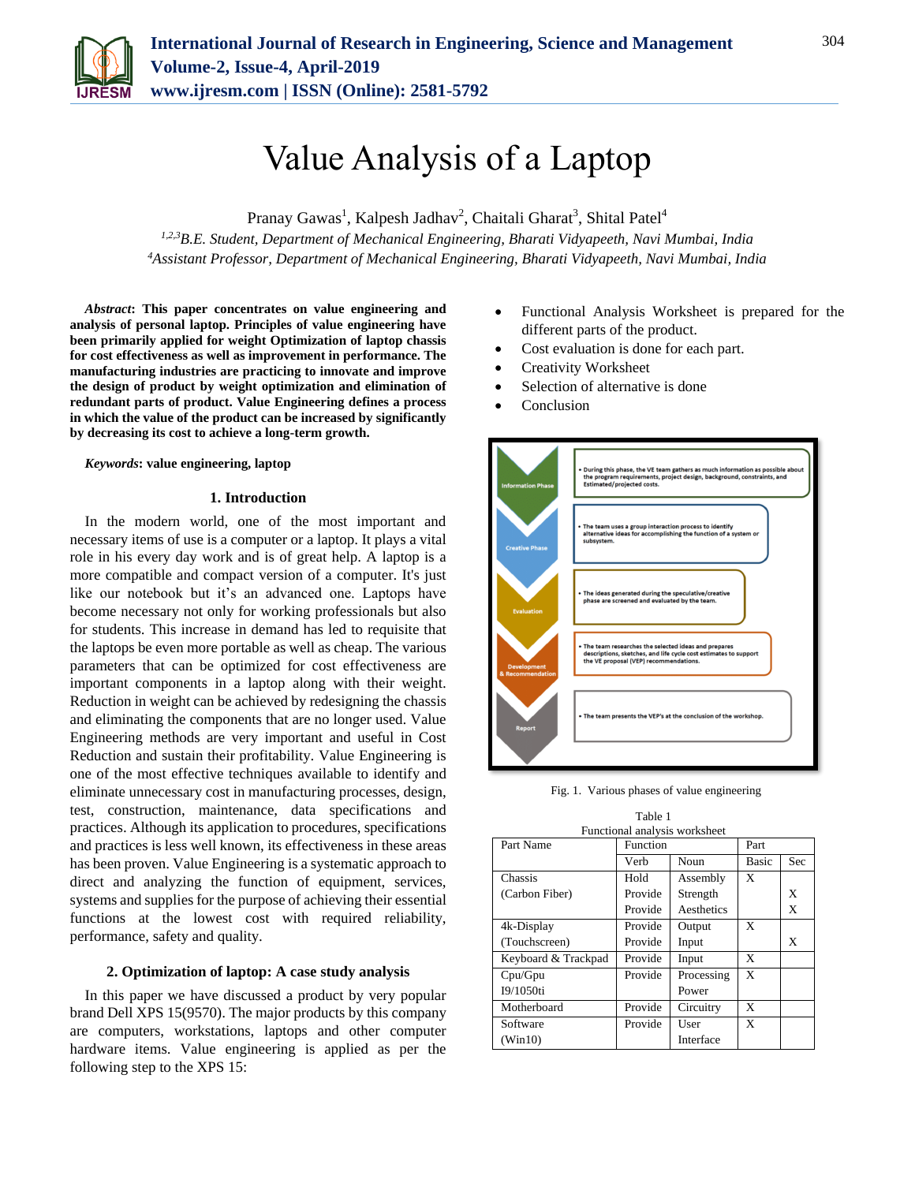

# Value Analysis of a Laptop

Pranay Gawas<sup>1</sup>, Kalpesh Jadhav<sup>2</sup>, Chaitali Gharat<sup>3</sup>, Shital Patel<sup>4</sup>

*1,2,3B.E. Student, Department of Mechanical Engineering, Bharati Vidyapeeth, Navi Mumbai, India <sup>4</sup>Assistant Professor, Department of Mechanical Engineering, Bharati Vidyapeeth, Navi Mumbai, India*

*Abstract***: This paper concentrates on value engineering and analysis of personal laptop. Principles of value engineering have been primarily applied for weight Optimization of laptop chassis for cost effectiveness as well as improvement in performance. The manufacturing industries are practicing to innovate and improve the design of product by weight optimization and elimination of redundant parts of product. Value Engineering defines a process in which the value of the product can be increased by significantly by decreasing its cost to achieve a long-term growth.**

#### *Keywords***: value engineering, laptop**

## **1. Introduction**

In the modern world, one of the most important and necessary items of use is a computer or a laptop. It plays a vital role in his every day work and is of great help. A laptop is a more compatible and compact version of a computer. It's just like our notebook but it's an advanced one. Laptops have become necessary not only for working professionals but also for students. This increase in demand has led to requisite that the laptops be even more portable as well as cheap. The various parameters that can be optimized for cost effectiveness are important components in a laptop along with their weight. Reduction in weight can be achieved by redesigning the chassis and eliminating the components that are no longer used. Value Engineering methods are very important and useful in Cost Reduction and sustain their profitability. Value Engineering is one of the most effective techniques available to identify and eliminate unnecessary cost in manufacturing processes, design, test, construction, maintenance, data specifications and practices. Although its application to procedures, specifications and practices is less well known, its effectiveness in these areas has been proven. Value Engineering is a systematic approach to direct and analyzing the function of equipment, services, systems and supplies for the purpose of achieving their essential functions at the lowest cost with required reliability, performance, safety and quality.

### **2. Optimization of laptop: A case study analysis**

In this paper we have discussed a product by very popular brand Dell XPS 15(9570). The major products by this company are computers, workstations, laptops and other computer hardware items. Value engineering is applied as per the following step to the XPS 15:

- Functional Analysis Worksheet is prepared for the different parts of the product.
- Cost evaluation is done for each part.
- Creativity Worksheet
- Selection of alternative is done
- Conclusion



Fig. 1. Various phases of value engineering

| Table 1                       |          |            |       |     |  |  |
|-------------------------------|----------|------------|-------|-----|--|--|
| Functional analysis worksheet |          |            |       |     |  |  |
| Part Name                     | Function |            | Part  |     |  |  |
|                               | Verb     | Noun       | Basic | Sec |  |  |
| Chassis                       | Hold     | Assembly   | X     |     |  |  |
| (Carbon Fiber)                | Provide  | Strength   |       | X   |  |  |
|                               | Provide  | Aesthetics |       | X   |  |  |
| 4k-Display                    | Provide  | Output     | X     |     |  |  |
| (Touchscreen)                 | Provide  | Input      |       | X   |  |  |
| Keyboard & Trackpad           | Provide  | Input      | X     |     |  |  |
| Cpu/Gpu                       | Provide  | Processing | X     |     |  |  |
| I9/1050ti                     |          | Power      |       |     |  |  |
| Motherboard                   | Provide  | Circuitry  | X     |     |  |  |
| Software                      | Provide  | User       | X     |     |  |  |
| (Win10)                       |          | Interface  |       |     |  |  |